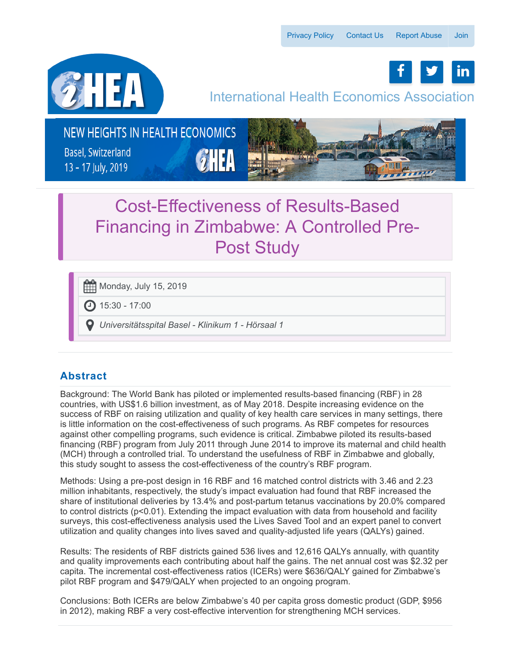f | y | in



## International Health Economics Association

NEW HEIGHTS IN HEALTH ECONOMICS

**Basel, Switzerland** 13 - 17 July, 2019



# Cost-Effectiveness of Results-Based Financing in Zimbabwe: A Controlled Pre-Post Study

Monday, July 15, 2019

15:30 - 17:00

*Universitätsspital Basel - Klinikum 1 - Hörsaal 1*

### **Abstract**

Background: The World Bank has piloted or implemented results-based financing (RBF) in 28 countries, with US\$1.6 billion investment, as of May 2018. Despite increasing evidence on the success of RBF on raising utilization and quality of key health care services in many settings, there is little information on the cost-effectiveness of such programs. As RBF competes for resources against other compelling programs, such evidence is critical. Zimbabwe piloted its results-based financing (RBF) program from July 2011 through June 2014 to improve its maternal and child health (MCH) through a controlled trial. To understand the usefulness of RBF in Zimbabwe and globally, this study sought to assess the cost-effectiveness of the country's RBF program.

Methods: Using a pre-post design in 16 RBF and 16 matched control districts with 3.46 and 2.23 million inhabitants, respectively, the study's impact evaluation had found that RBF increased the share of institutional deliveries by 13.4% and post-partum tetanus vaccinations by 20.0% compared to control districts (p<0.01). Extending the impact evaluation with data from household and facility surveys, this cost-effectiveness analysis used the Lives Saved Tool and an expert panel to convert utilization and quality changes into lives saved and quality-adjusted life years (QALYs) gained.

Results: The residents of RBF districts gained 536 lives and 12,616 QALYs annually, with quantity and quality improvements each contributing about half the gains. The net annual cost was \$2.32 per capita. The incremental cost-effectiveness ratios (ICERs) were \$636/QALY gained for Zimbabwe's pilot RBF program and \$479/QALY when projected to an ongoing program.

Conclusions: Both ICERs are below Zimbabwe's 40 per capita gross domestic product (GDP, \$956 in 2012), making RBF a very cost-effective intervention for strengthening MCH services.